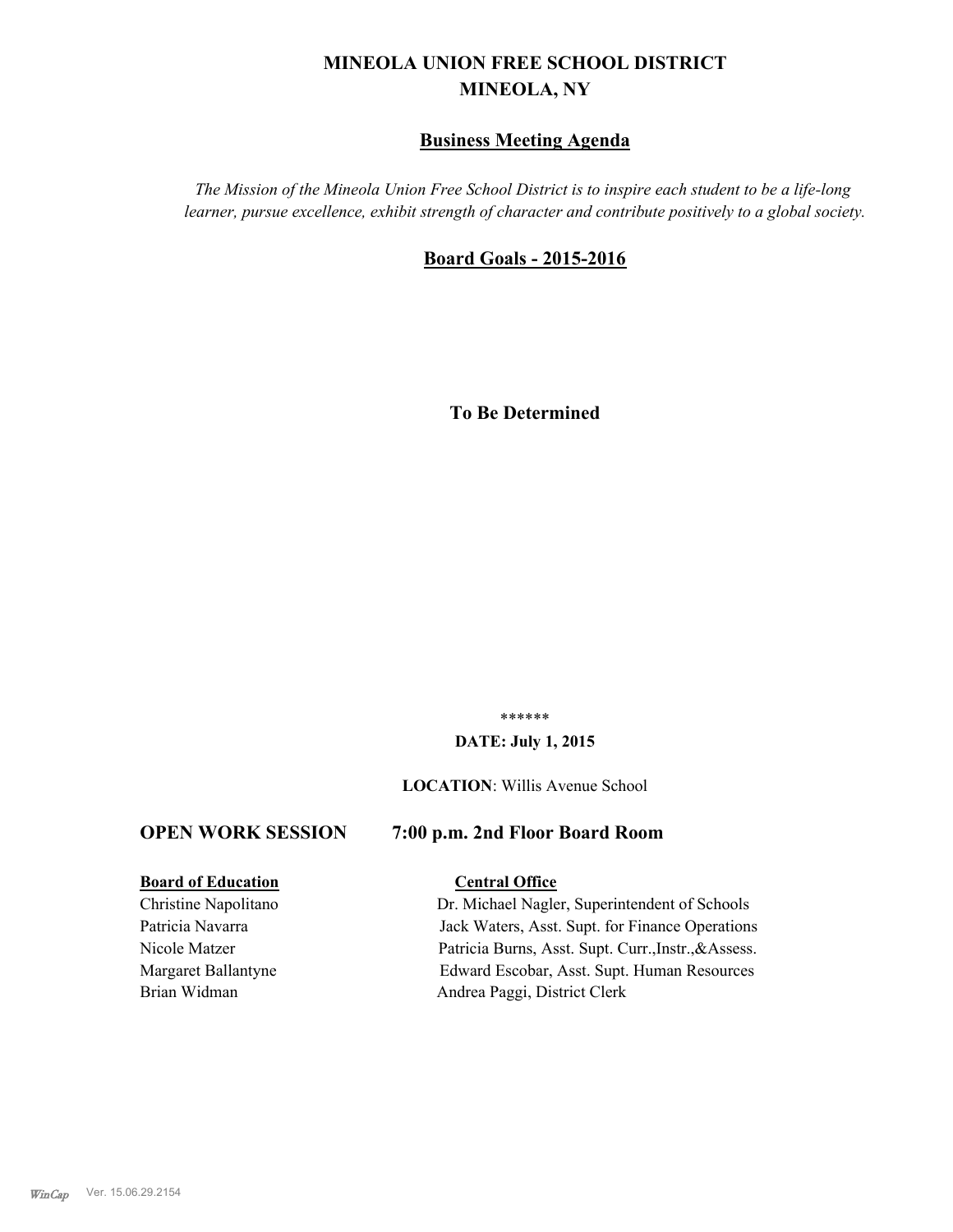# **MINEOLA UNION FREE SCHOOL DISTRICT MINEOLA, NY**

## **Business Meeting Agenda**

*The Mission of the Mineola Union Free School District is to inspire each student to be a life-long learner, pursue excellence, exhibit strength of character and contribute positively to a global society.*

## **Board Goals - 2015-2016**

**To Be Determined**

\*\*\*\*\*\*

#### **DATE: July 1, 2015**

#### **LOCATION**: Willis Avenue School

## **OPEN WORK SESSION 7:00 p.m. 2nd Floor Board Room**

#### **Board of Education Central Office**

Christine Napolitano Dr. Michael Nagler, Superintendent of Schools Patricia Navarra **Jack Waters, Asst. Supt. for Finance Operations** Nicole Matzer Patricia Burns, Asst. Supt. Curr.,Instr.,&Assess. Margaret Ballantyne Edward Escobar, Asst. Supt. Human Resources Brian Widman Andrea Paggi, District Clerk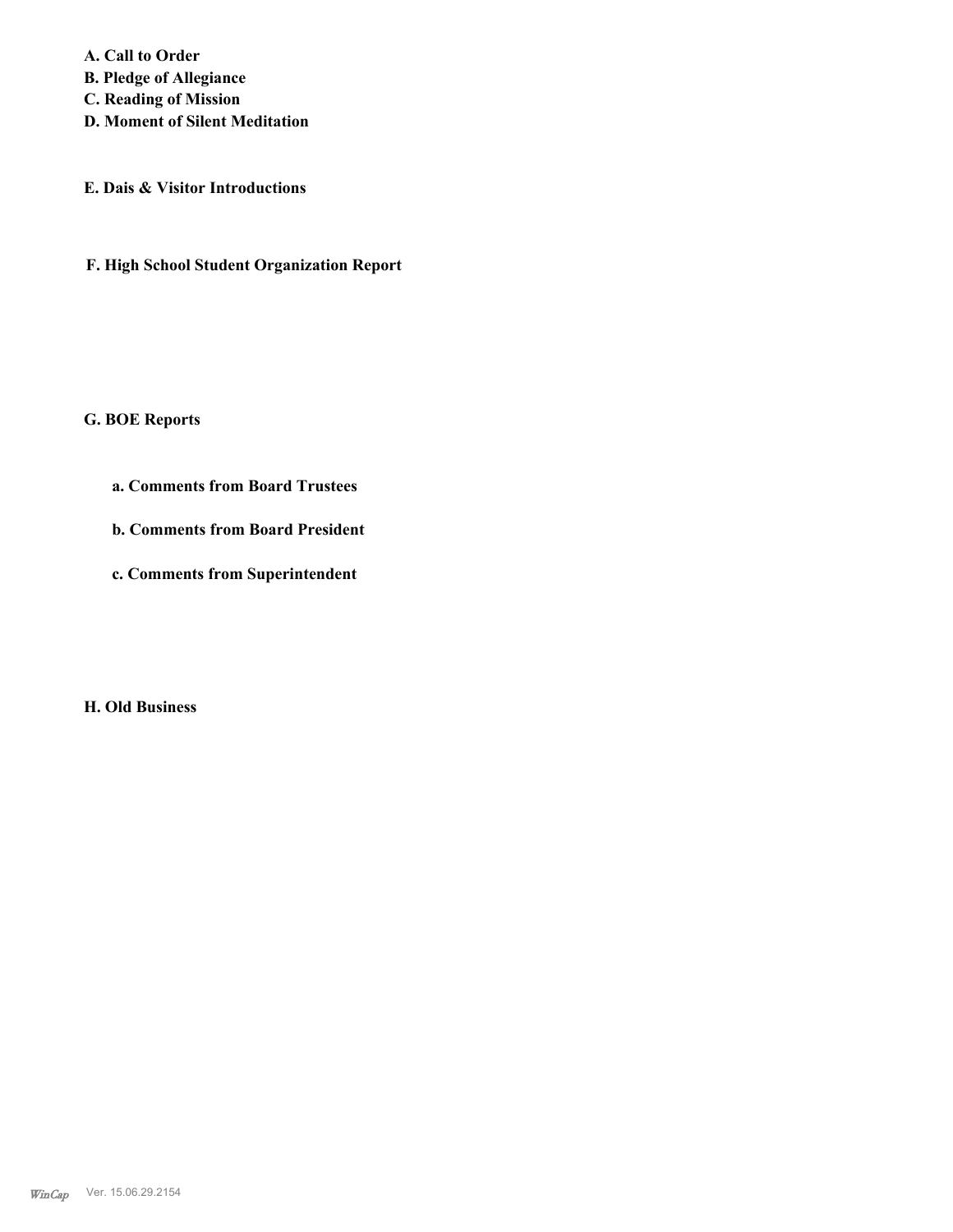**A. Call to Order B. Pledge of Allegiance C. Reading of Mission D. Moment of Silent Meditation**

**E. Dais & Visitor Introductions**

**F. High School Student Organization Report**

**G. BOE Reports**

**a. Comments from Board Trustees**

**b. Comments from Board President**

**c. Comments from Superintendent**

**H. Old Business**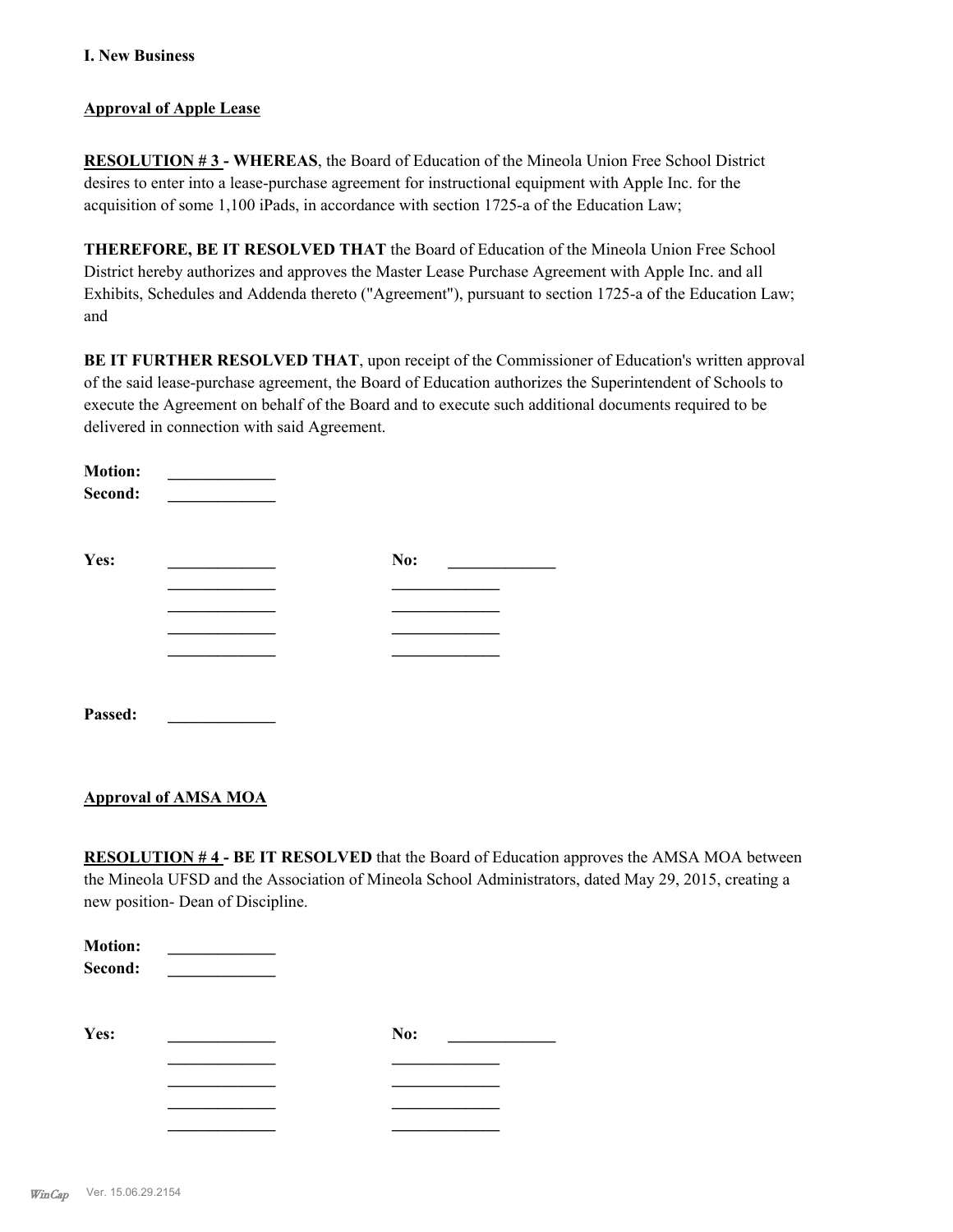## **Approval of Apple Lease**

**RESOLUTION # 3 - WHEREAS**, the Board of Education of the Mineola Union Free School District desires to enter into a lease-purchase agreement for instructional equipment with Apple Inc. for the acquisition of some 1,100 iPads, in accordance with section 1725-a of the Education Law;

**THEREFORE, BE IT RESOLVED THAT** the Board of Education of the Mineola Union Free School District hereby authorizes and approves the Master Lease Purchase Agreement with Apple Inc. and all Exhibits, Schedules and Addenda thereto ("Agreement"), pursuant to section 1725-a of the Education Law; and

**BE IT FURTHER RESOLVED THAT**, upon receipt of the Commissioner of Education's written approval of the said lease-purchase agreement, the Board of Education authorizes the Superintendent of Schools to execute the Agreement on behalf of the Board and to execute such additional documents required to be delivered in connection with said Agreement.

| <b>Motion:</b><br>Second: |     |  |
|---------------------------|-----|--|
| Yes:                      | No: |  |
|                           |     |  |
|                           |     |  |
|                           |     |  |
|                           |     |  |
|                           |     |  |
| Passed:                   |     |  |

## **Approval of AMSA MOA**

**RESOLUTION # 4 - BE IT RESOLVED** that the Board of Education approves the AMSA MOA between the Mineola UFSD and the Association of Mineola School Administrators, dated May 29, 2015, creating a new position- Dean of Discipline.

| <b>Motion:</b><br>Second: |     |  |
|---------------------------|-----|--|
| Yes:                      | No: |  |
|                           |     |  |
|                           |     |  |
|                           |     |  |
|                           |     |  |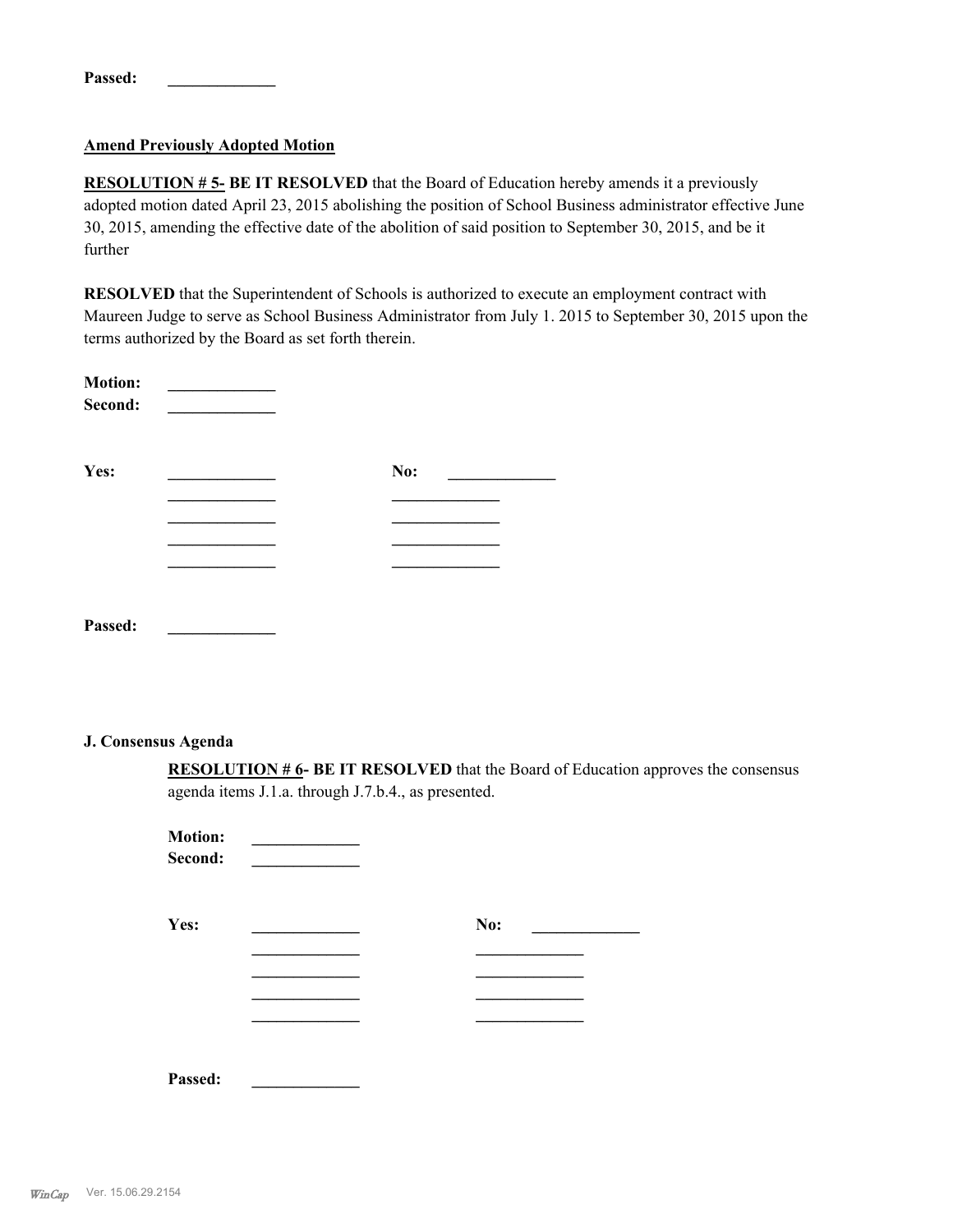| Passed: |  |  |  |  |
|---------|--|--|--|--|
|         |  |  |  |  |

## **Amend Previously Adopted Motion**

**RESOLUTION # 5- BE IT RESOLVED** that the Board of Education hereby amends it a previously adopted motion dated April 23, 2015 abolishing the position of School Business administrator effective June 30, 2015, amending the effective date of the abolition of said position to September 30, 2015, and be it further

**RESOLVED** that the Superintendent of Schools is authorized to execute an employment contract with Maureen Judge to serve as School Business Administrator from July 1. 2015 to September 30, 2015 upon the terms authorized by the Board as set forth therein.

| <b>Motion:</b><br>Second: |     |
|---------------------------|-----|
| Yes:                      | No: |
|                           |     |
|                           |     |
|                           |     |
|                           |     |
| Passed:                   |     |

#### **J. Consensus Agenda**

**RESOLUTION # 6- BE IT RESOLVED** that the Board of Education approves the consensus agenda items J.1.a. through J.7.b.4., as presented.

| <b>Motion:</b><br>Second: |     |
|---------------------------|-----|
| Yes:                      | No: |
|                           |     |
|                           |     |
|                           |     |
|                           |     |
| Passed:                   |     |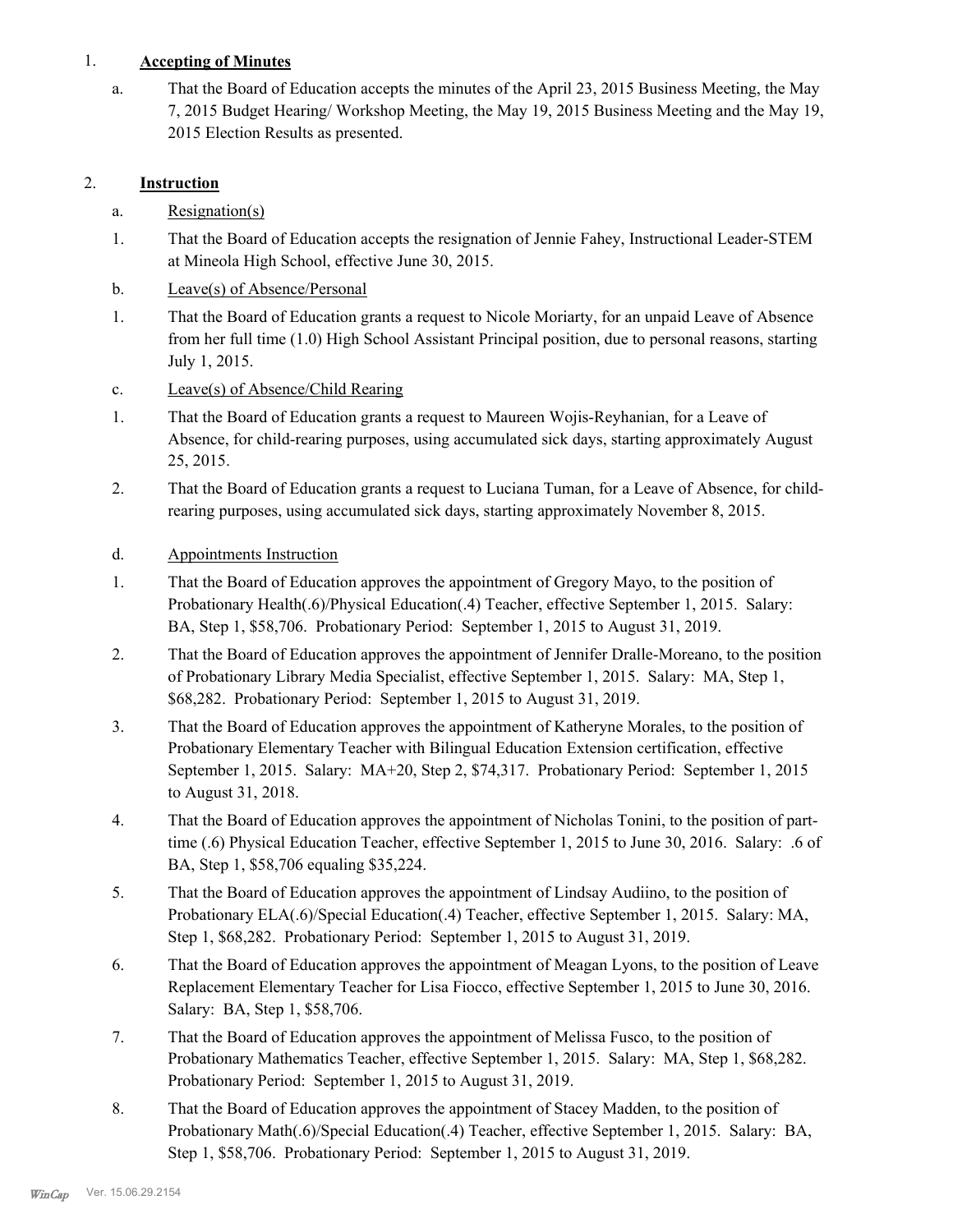## 1. **Accepting of Minutes**

That the Board of Education accepts the minutes of the April 23, 2015 Business Meeting, the May 7, 2015 Budget Hearing/ Workshop Meeting, the May 19, 2015 Business Meeting and the May 19, 2015 Election Results as presented. a.

# 2. **Instruction**

- a. Resignation(s)
- That the Board of Education accepts the resignation of Jennie Fahey, Instructional Leader-STEM at Mineola High School, effective June 30, 2015. 1.
- b. Leave(s) of Absence/Personal
- That the Board of Education grants a request to Nicole Moriarty, for an unpaid Leave of Absence from her full time (1.0) High School Assistant Principal position, due to personal reasons, starting July 1, 2015. 1.
- c. Leave(s) of Absence/Child Rearing
- That the Board of Education grants a request to Maureen Wojis-Reyhanian, for a Leave of Absence, for child-rearing purposes, using accumulated sick days, starting approximately August 25, 2015. 1.
- That the Board of Education grants a request to Luciana Tuman, for a Leave of Absence, for childrearing purposes, using accumulated sick days, starting approximately November 8, 2015. 2.
- d. Appointments Instruction
- That the Board of Education approves the appointment of Gregory Mayo, to the position of Probationary Health(.6)/Physical Education(.4) Teacher, effective September 1, 2015. Salary: BA, Step 1, \$58,706. Probationary Period: September 1, 2015 to August 31, 2019. 1.
- That the Board of Education approves the appointment of Jennifer Dralle-Moreano, to the position of Probationary Library Media Specialist, effective September 1, 2015. Salary: MA, Step 1, \$68,282. Probationary Period: September 1, 2015 to August 31, 2019. 2.
- That the Board of Education approves the appointment of Katheryne Morales, to the position of Probationary Elementary Teacher with Bilingual Education Extension certification, effective September 1, 2015. Salary: MA+20, Step 2, \$74,317. Probationary Period: September 1, 2015 to August 31, 2018. 3.
- That the Board of Education approves the appointment of Nicholas Tonini, to the position of parttime (.6) Physical Education Teacher, effective September 1, 2015 to June 30, 2016. Salary: .6 of BA, Step 1, \$58,706 equaling \$35,224. 4.
- That the Board of Education approves the appointment of Lindsay Audiino, to the position of Probationary ELA(.6)/Special Education(.4) Teacher, effective September 1, 2015. Salary: MA, Step 1, \$68,282. Probationary Period: September 1, 2015 to August 31, 2019. 5.
- That the Board of Education approves the appointment of Meagan Lyons, to the position of Leave Replacement Elementary Teacher for Lisa Fiocco, effective September 1, 2015 to June 30, 2016. Salary: BA, Step 1, \$58,706. 6.
- That the Board of Education approves the appointment of Melissa Fusco, to the position of Probationary Mathematics Teacher, effective September 1, 2015. Salary: MA, Step 1, \$68,282. Probationary Period: September 1, 2015 to August 31, 2019. 7.
- That the Board of Education approves the appointment of Stacey Madden, to the position of Probationary Math(.6)/Special Education(.4) Teacher, effective September 1, 2015. Salary: BA, Step 1, \$58,706. Probationary Period: September 1, 2015 to August 31, 2019. 8.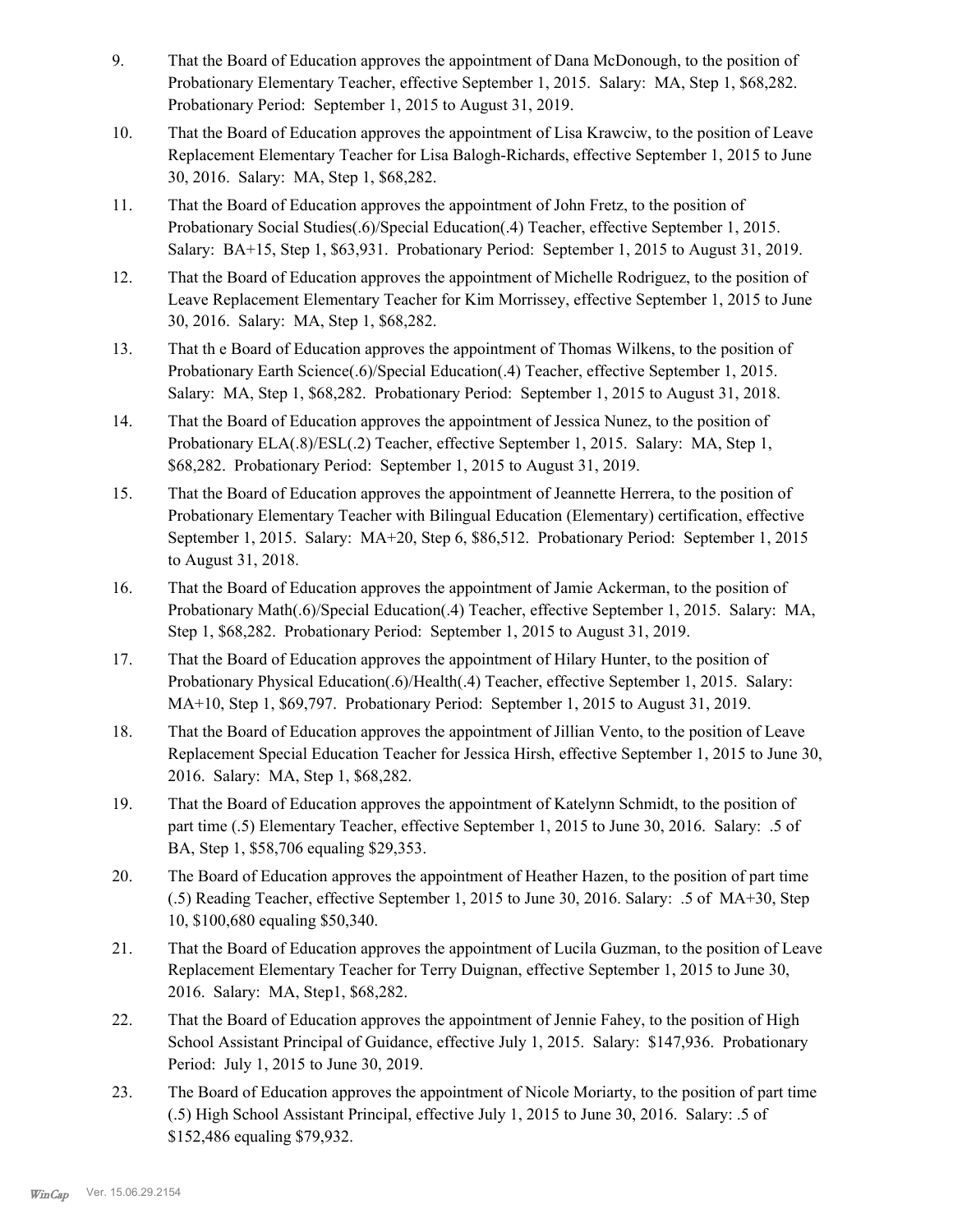- That the Board of Education approves the appointment of Dana McDonough, to the position of Probationary Elementary Teacher, effective September 1, 2015. Salary: MA, Step 1, \$68,282. Probationary Period: September 1, 2015 to August 31, 2019. 9.
- That the Board of Education approves the appointment of Lisa Krawciw, to the position of Leave Replacement Elementary Teacher for Lisa Balogh-Richards, effective September 1, 2015 to June 30, 2016. Salary: MA, Step 1, \$68,282. 10.
- That the Board of Education approves the appointment of John Fretz, to the position of Probationary Social Studies(.6)/Special Education(.4) Teacher, effective September 1, 2015. Salary: BA+15, Step 1, \$63,931. Probationary Period: September 1, 2015 to August 31, 2019. 11.
- That the Board of Education approves the appointment of Michelle Rodriguez, to the position of Leave Replacement Elementary Teacher for Kim Morrissey, effective September 1, 2015 to June 30, 2016. Salary: MA, Step 1, \$68,282. 12.
- That th e Board of Education approves the appointment of Thomas Wilkens, to the position of Probationary Earth Science(.6)/Special Education(.4) Teacher, effective September 1, 2015. Salary: MA, Step 1, \$68,282. Probationary Period: September 1, 2015 to August 31, 2018. 13.
- That the Board of Education approves the appointment of Jessica Nunez, to the position of Probationary ELA(.8)/ESL(.2) Teacher, effective September 1, 2015. Salary: MA, Step 1, \$68,282. Probationary Period: September 1, 2015 to August 31, 2019. 14.
- That the Board of Education approves the appointment of Jeannette Herrera, to the position of Probationary Elementary Teacher with Bilingual Education (Elementary) certification, effective September 1, 2015. Salary: MA+20, Step 6, \$86,512. Probationary Period: September 1, 2015 to August 31, 2018. 15.
- That the Board of Education approves the appointment of Jamie Ackerman, to the position of Probationary Math(.6)/Special Education(.4) Teacher, effective September 1, 2015. Salary: MA, Step 1, \$68,282. Probationary Period: September 1, 2015 to August 31, 2019. 16.
- That the Board of Education approves the appointment of Hilary Hunter, to the position of Probationary Physical Education(.6)/Health(.4) Teacher, effective September 1, 2015. Salary: MA+10, Step 1, \$69,797. Probationary Period: September 1, 2015 to August 31, 2019. 17.
- That the Board of Education approves the appointment of Jillian Vento, to the position of Leave Replacement Special Education Teacher for Jessica Hirsh, effective September 1, 2015 to June 30, 2016. Salary: MA, Step 1, \$68,282. 18.
- That the Board of Education approves the appointment of Katelynn Schmidt, to the position of part time (.5) Elementary Teacher, effective September 1, 2015 to June 30, 2016. Salary: .5 of BA, Step 1, \$58,706 equaling \$29,353. 19.
- The Board of Education approves the appointment of Heather Hazen, to the position of part time (.5) Reading Teacher, effective September 1, 2015 to June 30, 2016. Salary: .5 of MA+30, Step 10, \$100,680 equaling \$50,340. 20.
- That the Board of Education approves the appointment of Lucila Guzman, to the position of Leave Replacement Elementary Teacher for Terry Duignan, effective September 1, 2015 to June 30, 2016. Salary: MA, Step1, \$68,282. 21.
- That the Board of Education approves the appointment of Jennie Fahey, to the position of High School Assistant Principal of Guidance, effective July 1, 2015. Salary: \$147,936. Probationary Period: July 1, 2015 to June 30, 2019. 22.
- The Board of Education approves the appointment of Nicole Moriarty, to the position of part time (.5) High School Assistant Principal, effective July 1, 2015 to June 30, 2016. Salary: .5 of \$152,486 equaling \$79,932. 23.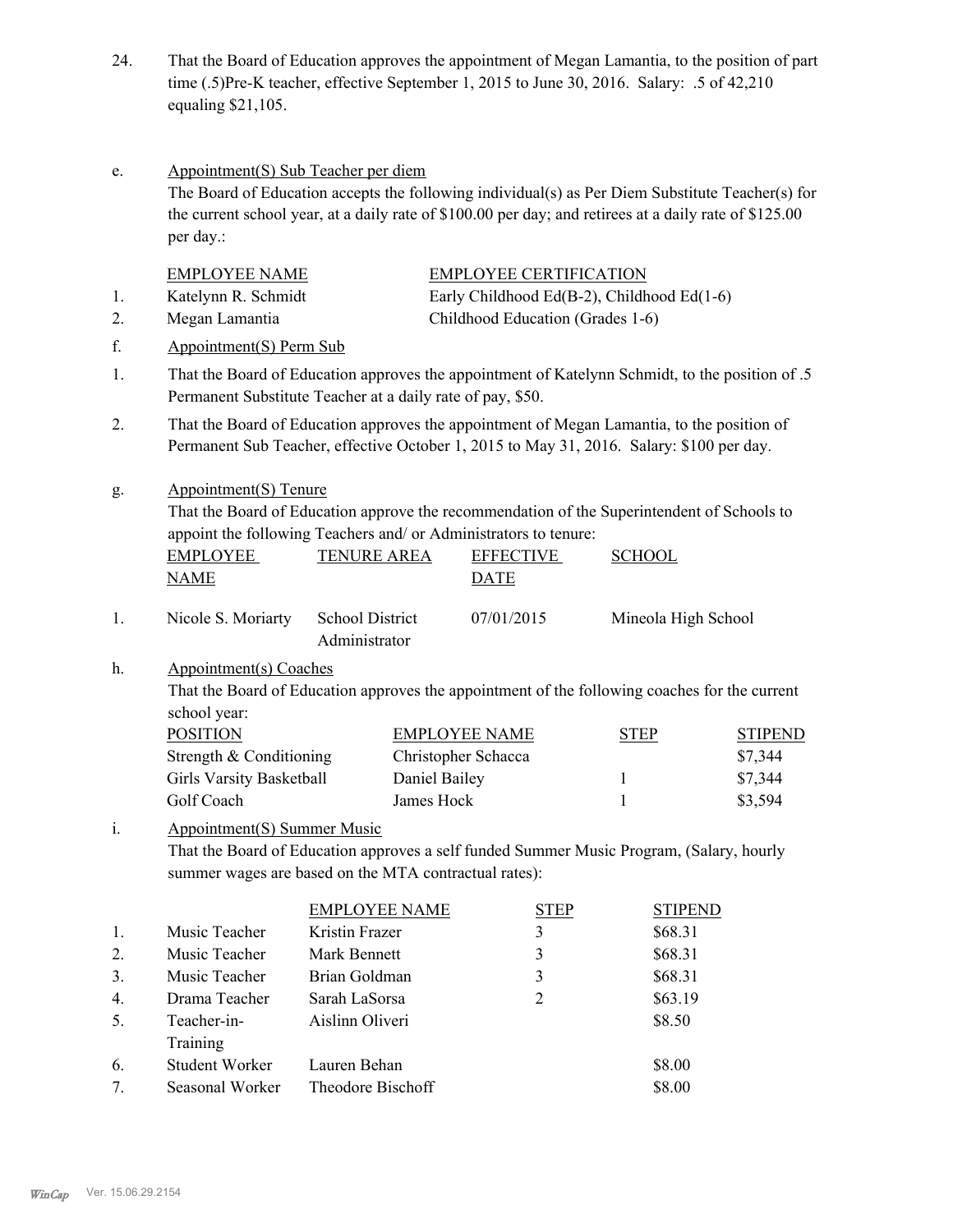- That the Board of Education approves the appointment of Megan Lamantia, to the position of part time (.5)Pre-K teacher, effective September 1, 2015 to June 30, 2016. Salary: .5 of 42,210 equaling \$21,105. 24.
- Appointment(S) Sub Teacher per diem The Board of Education accepts the following individual(s) as Per Diem Substitute Teacher(s) for the current school year, at a daily rate of \$100.00 per day; and retirees at a daily rate of \$125.00 per day.: e.

|       | <b>EMPLOYEE NAME</b>                                                                                                                                                                    |                                                                                                                                                                                        |               | <b>EMPLOYEE CERTIFICATION</b>              |             |                     |                |  |
|-------|-----------------------------------------------------------------------------------------------------------------------------------------------------------------------------------------|----------------------------------------------------------------------------------------------------------------------------------------------------------------------------------------|---------------|--------------------------------------------|-------------|---------------------|----------------|--|
| 1.    | Katelynn R. Schmidt                                                                                                                                                                     |                                                                                                                                                                                        |               | Early Childhood Ed(B-2), Childhood Ed(1-6) |             |                     |                |  |
| 2.    | Megan Lamantia                                                                                                                                                                          |                                                                                                                                                                                        |               | Childhood Education (Grades 1-6)           |             |                     |                |  |
| f.    | Appointment(S) Perm Sub                                                                                                                                                                 |                                                                                                                                                                                        |               |                                            |             |                     |                |  |
| 1.    |                                                                                                                                                                                         | That the Board of Education approves the appointment of Katelynn Schmidt, to the position of .5<br>Permanent Substitute Teacher at a daily rate of pay, \$50.                          |               |                                            |             |                     |                |  |
| 2.    |                                                                                                                                                                                         | That the Board of Education approves the appointment of Megan Lamantia, to the position of<br>Permanent Sub Teacher, effective October 1, 2015 to May 31, 2016. Salary: \$100 per day. |               |                                            |             |                     |                |  |
| g.    | Appointment(S) Tenure<br>That the Board of Education approve the recommendation of the Superintendent of Schools to<br>appoint the following Teachers and/ or Administrators to tenure: |                                                                                                                                                                                        |               |                                            |             |                     |                |  |
|       | <b>EMPLOYEE</b><br><b>NAME</b>                                                                                                                                                          | <b>TENURE AREA</b>                                                                                                                                                                     |               | <b>EFFECTIVE</b><br><b>DATE</b>            |             | <b>SCHOOL</b>       |                |  |
| 1.    | Nicole S. Moriarty                                                                                                                                                                      | <b>School District</b><br>Administrator                                                                                                                                                |               | 07/01/2015                                 |             | Mineola High School |                |  |
| h.    | Appointment(s) Coaches<br>That the Board of Education approves the appointment of the following coaches for the current<br>school year:                                                 |                                                                                                                                                                                        |               |                                            |             |                     |                |  |
|       | <b>POSITION</b>                                                                                                                                                                         |                                                                                                                                                                                        |               | <b>EMPLOYEE NAME</b>                       |             | <b>STEP</b>         | <b>STIPEND</b> |  |
|       | Strength & Conditioning                                                                                                                                                                 |                                                                                                                                                                                        |               | Christopher Schacca                        |             |                     | \$7,344        |  |
|       | <b>Girls Varsity Basketball</b>                                                                                                                                                         |                                                                                                                                                                                        | Daniel Bailey |                                            |             | $\mathbf{1}$        | \$7,344        |  |
|       | Golf Coach                                                                                                                                                                              |                                                                                                                                                                                        | James Hock    |                                            |             | $\mathbf{1}$        | \$3,594        |  |
| $i$ . | <b>Appointment(S) Summer Music</b><br>That the Board of Education approves a self funded Summer Music Program, (Salary, hourly<br>summer wages are based on the MTA contractual rates): |                                                                                                                                                                                        |               |                                            |             |                     |                |  |
|       |                                                                                                                                                                                         | <b>EMPLOYEE NAME</b>                                                                                                                                                                   |               |                                            | <b>STEP</b> | <b>STIPEND</b>      |                |  |
| 1.    | Music Teacher                                                                                                                                                                           | Kristin Frazer                                                                                                                                                                         |               | 3                                          |             | \$68.31             |                |  |
| 2.    | Music Teacher                                                                                                                                                                           | Mark Bennett                                                                                                                                                                           |               | $\mathfrak{Z}$                             |             | \$68.31             |                |  |
| 3.    | Music Teacher                                                                                                                                                                           | Brian Goldman                                                                                                                                                                          |               | 3                                          |             | \$68.31             |                |  |

| $\overline{4}$ | Drama Teacher   | Sarah LaSorsa     | $\mathcal{D}$ | \$63.19 |
|----------------|-----------------|-------------------|---------------|---------|
| 5.             | Teacher-in-     | Aislinn Oliveri   |               | \$8.50  |
|                | Training        |                   |               |         |
| 6.             | Student Worker  | Lauren Behan      |               | \$8.00  |
| 7              | Seasonal Worker | Theodore Bischoff |               | \$8.00  |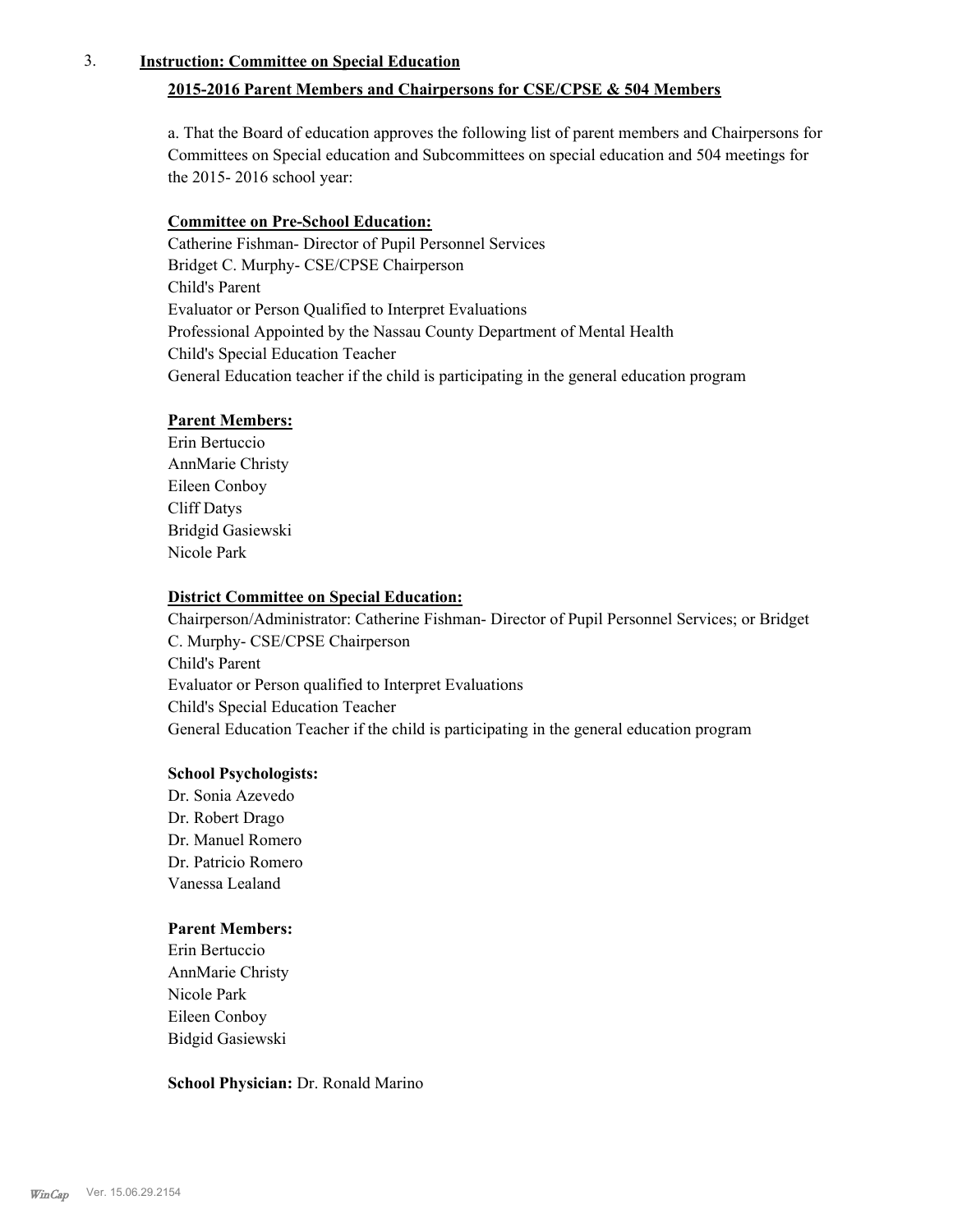## 3. **Instruction: Committee on Special Education**

## **2015-2016 Parent Members and Chairpersons for CSE/CPSE & 504 Members**

a. That the Board of education approves the following list of parent members and Chairpersons for Committees on Special education and Subcommittees on special education and 504 meetings for the 2015- 2016 school year:

## **Committee on Pre-School Education:**

Catherine Fishman- Director of Pupil Personnel Services Bridget C. Murphy- CSE/CPSE Chairperson Child's Parent Evaluator or Person Qualified to Interpret Evaluations Professional Appointed by the Nassau County Department of Mental Health Child's Special Education Teacher General Education teacher if the child is participating in the general education program

## **Parent Members:**

Erin Bertuccio AnnMarie Christy Eileen Conboy Cliff Datys Bridgid Gasiewski Nicole Park

## **District Committee on Special Education:**

Chairperson/Administrator: Catherine Fishman- Director of Pupil Personnel Services; or Bridget C. Murphy- CSE/CPSE Chairperson Child's Parent Evaluator or Person qualified to Interpret Evaluations Child's Special Education Teacher General Education Teacher if the child is participating in the general education program

## **School Psychologists:**

Dr. Sonia Azevedo Dr. Robert Drago Dr. Manuel Romero Dr. Patricio Romero Vanessa Lealand

## **Parent Members:**

Erin Bertuccio AnnMarie Christy Nicole Park Eileen Conboy Bidgid Gasiewski

## **School Physician:** Dr. Ronald Marino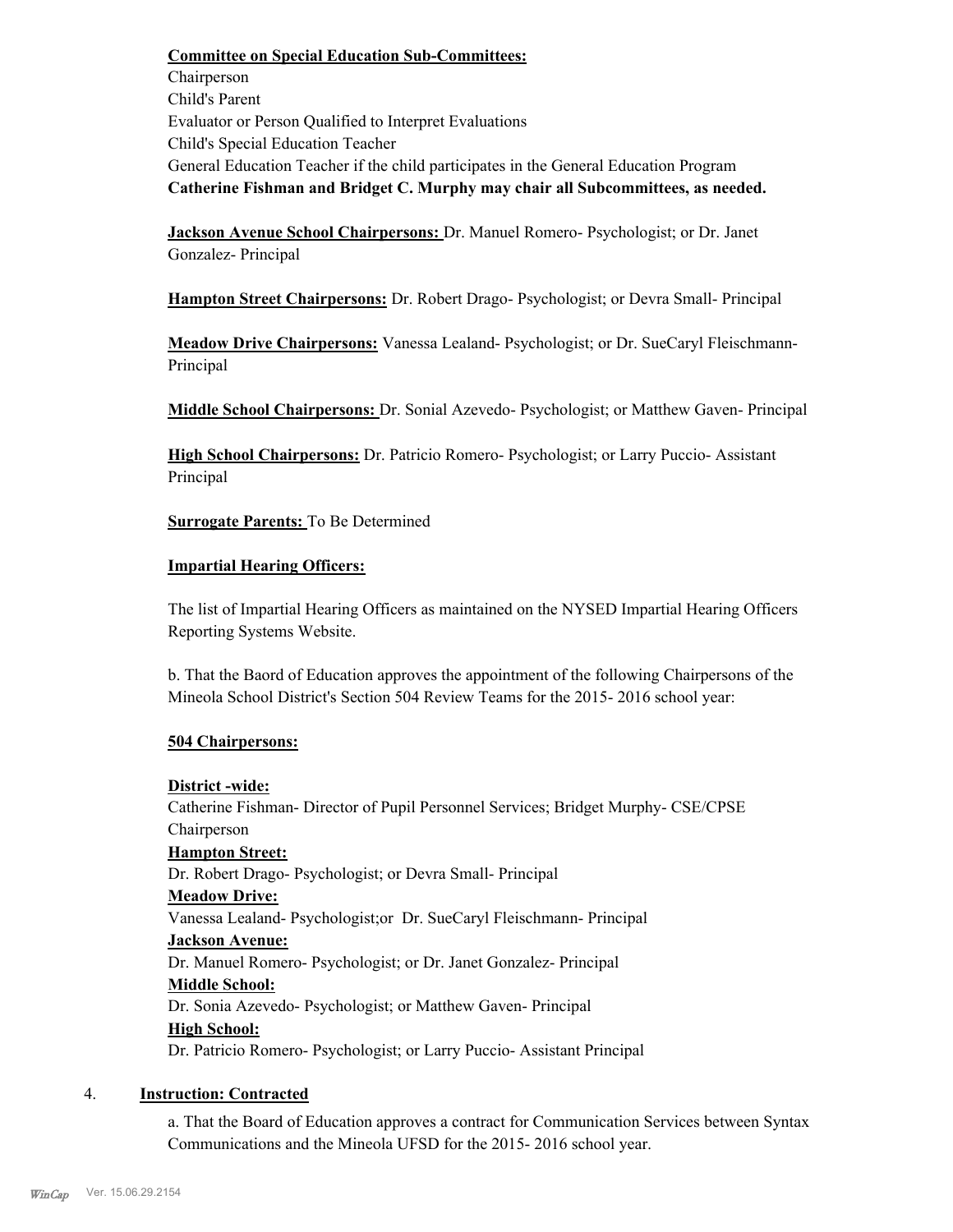**Committee on Special Education Sub-Committees:** Chairperson Child's Parent Evaluator or Person Qualified to Interpret Evaluations Child's Special Education Teacher General Education Teacher if the child participates in the General Education Program **Catherine Fishman and Bridget C. Murphy may chair all Subcommittees, as needed.**

**Jackson Avenue School Chairpersons:** Dr. Manuel Romero- Psychologist; or Dr. Janet Gonzalez- Principal

**Hampton Street Chairpersons:** Dr. Robert Drago- Psychologist; or Devra Small- Principal

**Meadow Drive Chairpersons:** Vanessa Lealand- Psychologist; or Dr. SueCaryl Fleischmann-Principal

**Middle School Chairpersons:** Dr. Sonial Azevedo- Psychologist; or Matthew Gaven- Principal

**High School Chairpersons:** Dr. Patricio Romero- Psychologist; or Larry Puccio- Assistant Principal

**Surrogate Parents:** To Be Determined

## **Impartial Hearing Officers:**

The list of Impartial Hearing Officers as maintained on the NYSED Impartial Hearing Officers Reporting Systems Website.

b. That the Baord of Education approves the appointment of the following Chairpersons of the Mineola School District's Section 504 Review Teams for the 2015- 2016 school year:

## **504 Chairpersons:**

## **District -wide:**

Catherine Fishman- Director of Pupil Personnel Services; Bridget Murphy- CSE/CPSE Chairperson **Hampton Street:** Dr. Robert Drago- Psychologist; or Devra Small- Principal **Meadow Drive:**

Vanessa Lealand- Psychologist;or Dr. SueCaryl Fleischmann- Principal

## **Jackson Avenue:**

Dr. Manuel Romero- Psychologist; or Dr. Janet Gonzalez- Principal

## **Middle School:**

Dr. Sonia Azevedo- Psychologist; or Matthew Gaven- Principal **High School:**

Dr. Patricio Romero- Psychologist; or Larry Puccio- Assistant Principal

## 4. **Instruction: Contracted**

a. That the Board of Education approves a contract for Communication Services between Syntax Communications and the Mineola UFSD for the 2015- 2016 school year.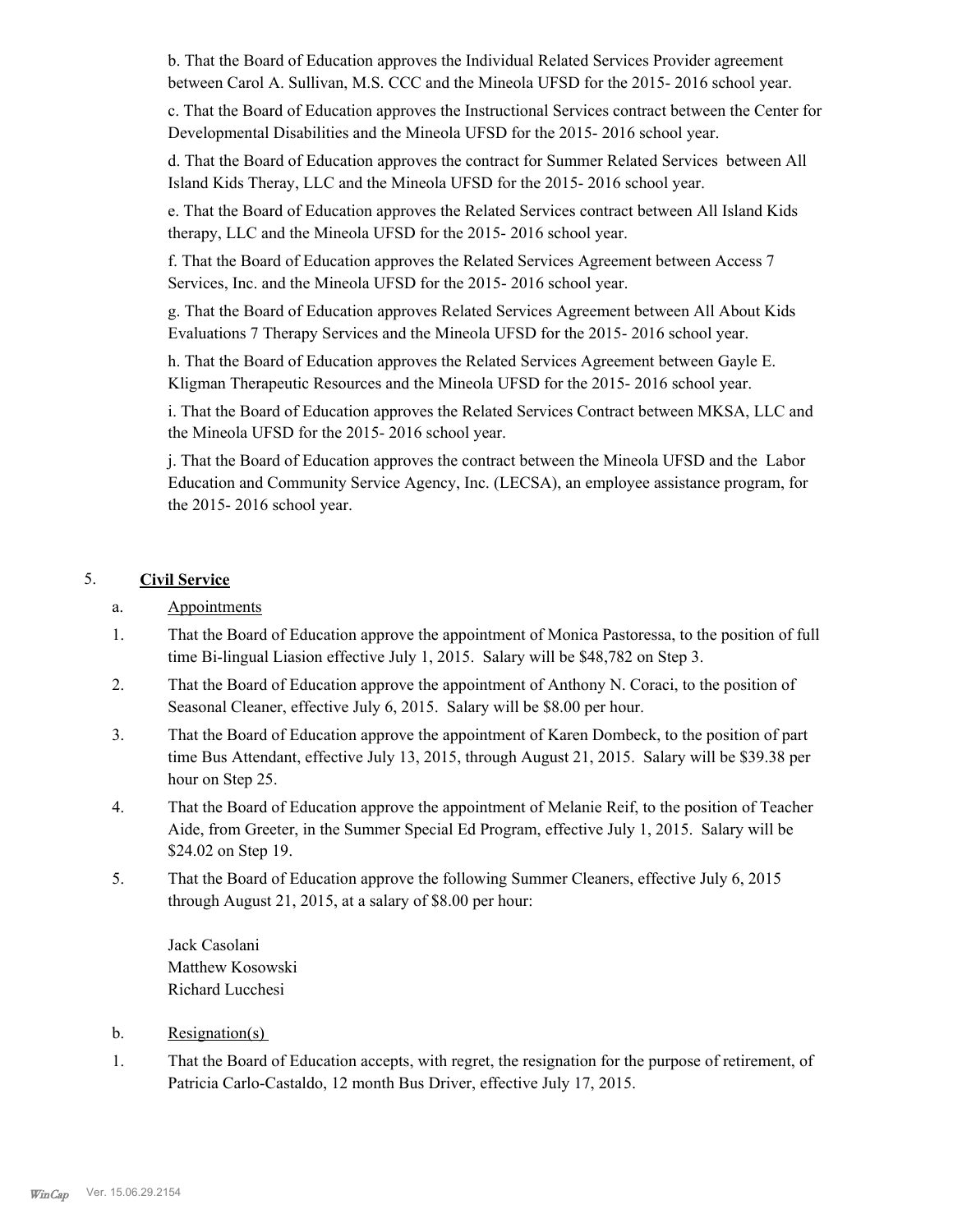b. That the Board of Education approves the Individual Related Services Provider agreement between Carol A. Sullivan, M.S. CCC and the Mineola UFSD for the 2015- 2016 school year.

c. That the Board of Education approves the Instructional Services contract between the Center for Developmental Disabilities and the Mineola UFSD for the 2015- 2016 school year.

d. That the Board of Education approves the contract for Summer Related Services between All Island Kids Theray, LLC and the Mineola UFSD for the 2015- 2016 school year.

e. That the Board of Education approves the Related Services contract between All Island Kids therapy, LLC and the Mineola UFSD for the 2015- 2016 school year.

f. That the Board of Education approves the Related Services Agreement between Access 7 Services, Inc. and the Mineola UFSD for the 2015- 2016 school year.

g. That the Board of Education approves Related Services Agreement between All About Kids Evaluations 7 Therapy Services and the Mineola UFSD for the 2015- 2016 school year.

h. That the Board of Education approves the Related Services Agreement between Gayle E. Kligman Therapeutic Resources and the Mineola UFSD for the 2015- 2016 school year.

i. That the Board of Education approves the Related Services Contract between MKSA, LLC and the Mineola UFSD for the 2015- 2016 school year.

j. That the Board of Education approves the contract between the Mineola UFSD and the Labor Education and Community Service Agency, Inc. (LECSA), an employee assistance program, for the 2015- 2016 school year.

## 5. **Civil Service**

- a. Appointments
- That the Board of Education approve the appointment of Monica Pastoressa, to the position of full time Bi-lingual Liasion effective July 1, 2015. Salary will be \$48,782 on Step 3. 1.
- That the Board of Education approve the appointment of Anthony N. Coraci, to the position of Seasonal Cleaner, effective July 6, 2015. Salary will be \$8.00 per hour. 2.
- That the Board of Education approve the appointment of Karen Dombeck, to the position of part time Bus Attendant, effective July 13, 2015, through August 21, 2015. Salary will be \$39.38 per hour on Step 25. 3.
- That the Board of Education approve the appointment of Melanie Reif, to the position of Teacher Aide, from Greeter, in the Summer Special Ed Program, effective July 1, 2015. Salary will be \$24.02 on Step 19. 4.
- That the Board of Education approve the following Summer Cleaners, effective July 6, 2015 through August 21, 2015, at a salary of \$8.00 per hour: 5.

Jack Casolani Matthew Kosowski Richard Lucchesi

- b. Resignation(s)
- That the Board of Education accepts, with regret, the resignation for the purpose of retirement, of Patricia Carlo-Castaldo, 12 month Bus Driver, effective July 17, 2015. 1.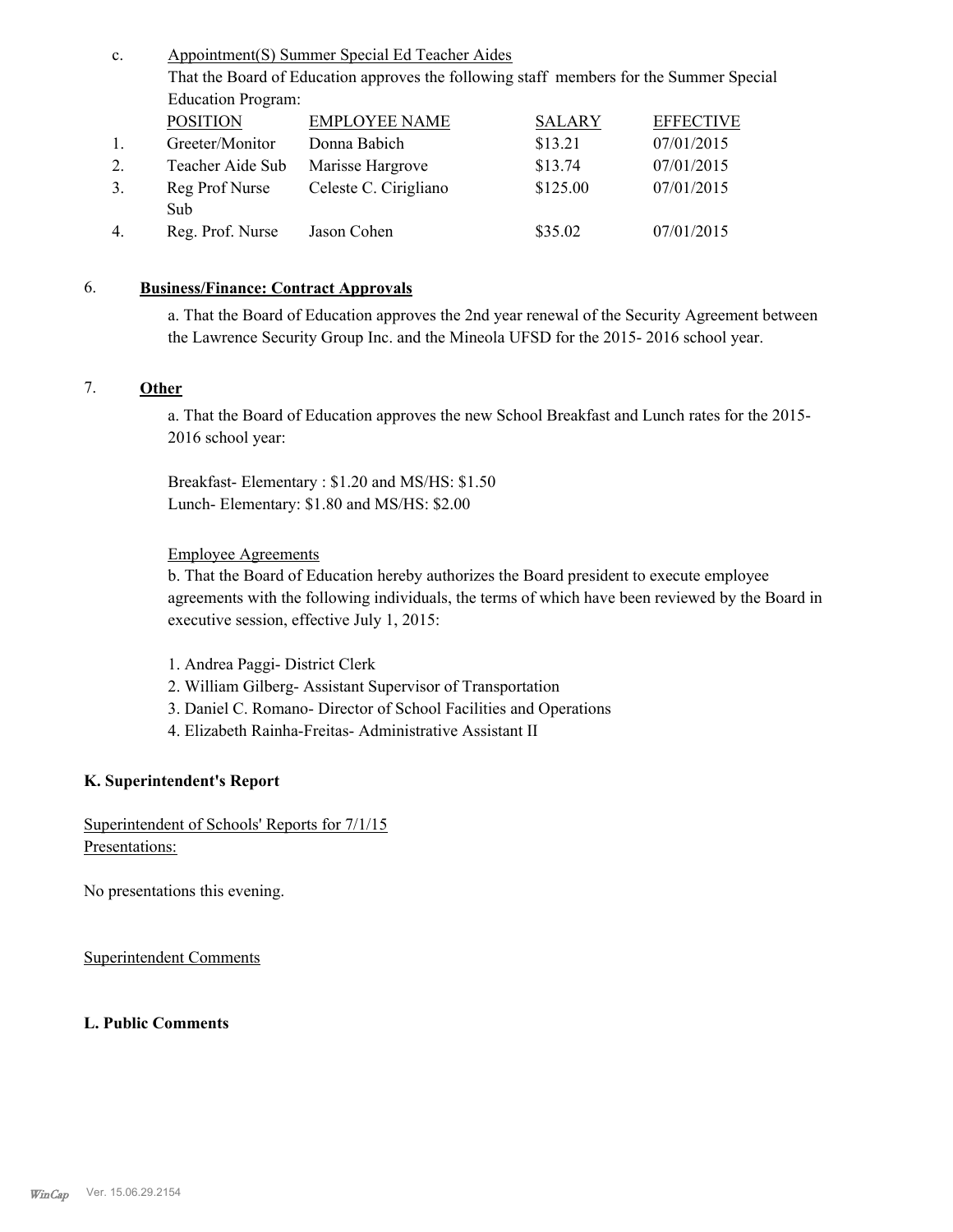| c.               | Appointment(S) Summer Special Ed Teacher Aides                                          |                       |               |                  |  |  |
|------------------|-----------------------------------------------------------------------------------------|-----------------------|---------------|------------------|--|--|
|                  | That the Board of Education approves the following staff members for the Summer Special |                       |               |                  |  |  |
|                  | <b>Education Program:</b>                                                               |                       |               |                  |  |  |
|                  | <b>POSITION</b>                                                                         | <b>EMPLOYEE NAME</b>  | <b>SALARY</b> | <b>EFFECTIVE</b> |  |  |
| 1.               | Greeter/Monitor                                                                         | Donna Babich          | \$13.21       | 07/01/2015       |  |  |
| 2.               | Teacher Aide Sub                                                                        | Marisse Hargrove      | \$13.74       | 07/01/2015       |  |  |
| 3.               | Reg Prof Nurse                                                                          | Celeste C. Cirigliano | \$125.00      | 07/01/2015       |  |  |
|                  | Sub                                                                                     |                       |               |                  |  |  |
| $\overline{4}$ . | Reg. Prof. Nurse                                                                        | Jason Cohen           | \$35.02       | 07/01/2015       |  |  |

## 6. **Business/Finance: Contract Approvals**

a. That the Board of Education approves the 2nd year renewal of the Security Agreement between the Lawrence Security Group Inc. and the Mineola UFSD for the 2015- 2016 school year.

## 7. **Other**

a. That the Board of Education approves the new School Breakfast and Lunch rates for the 2015- 2016 school year:

Breakfast- Elementary : \$1.20 and MS/HS: \$1.50 Lunch- Elementary: \$1.80 and MS/HS: \$2.00

## Employee Agreements

b. That the Board of Education hereby authorizes the Board president to execute employee agreements with the following individuals, the terms of which have been reviewed by the Board in executive session, effective July 1, 2015:

- 1. Andrea Paggi- District Clerk
- 2. William Gilberg- Assistant Supervisor of Transportation
- 3. Daniel C. Romano- Director of School Facilities and Operations
- 4. Elizabeth Rainha-Freitas- Administrative Assistant II

## **K. Superintendent's Report**

Superintendent of Schools' Reports for 7/1/15 Presentations:

No presentations this evening.

Superintendent Comments

## **L. Public Comments**